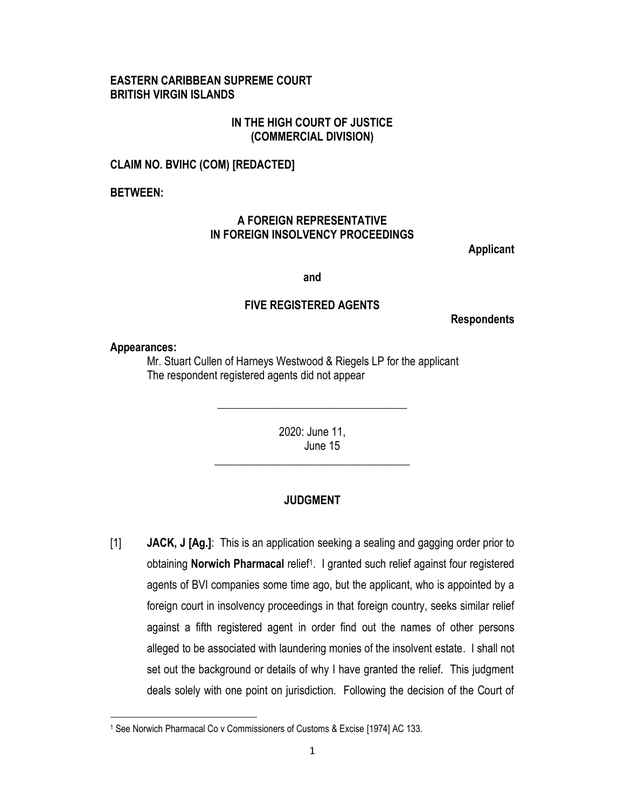## **EASTERN CARIBBEAN SUPREME COURT BRITISH VIRGIN ISLANDS**

## **IN THE HIGH COURT OF JUSTICE (COMMERCIAL DIVISION)**

### **CLAIM NO. BVIHC (COM) [REDACTED]**

**BETWEEN:** 

# **A FOREIGN REPRESENTATIVE IN FOREIGN INSOLVENCY PROCEEDINGS**

**Applicant**

**and**

### **FIVE REGISTERED AGENTS**

**Respondents**

**Appearances:**

 $\overline{\phantom{a}}$ 

Mr. Stuart Cullen of Harneys Westwood & Riegels LP for the applicant The respondent registered agents did not appear

> 2020: June 11, June 15

\_\_\_\_\_\_\_\_\_\_\_\_\_\_\_\_\_\_\_\_\_\_\_\_\_\_\_\_\_\_\_\_\_\_\_

\_\_\_\_\_\_\_\_\_\_\_\_\_\_\_\_\_\_\_\_\_\_\_\_\_\_\_\_\_\_\_\_\_\_

### **JUDGMENT**

[1] **JACK, J [Ag.]**: This is an application seeking a sealing and gagging order prior to obtaining **Norwich Pharmacal** relief<sup>1</sup>. I granted such relief against four registered agents of BVI companies some time ago, but the applicant, who is appointed by a foreign court in insolvency proceedings in that foreign country, seeks similar relief against a fifth registered agent in order find out the names of other persons alleged to be associated with laundering monies of the insolvent estate. I shall not set out the background or details of why I have granted the relief. This judgment deals solely with one point on jurisdiction. Following the decision of the Court of

<sup>1</sup> See Norwich Pharmacal Co v Commissioners of Customs & Excise [1974] AC 133.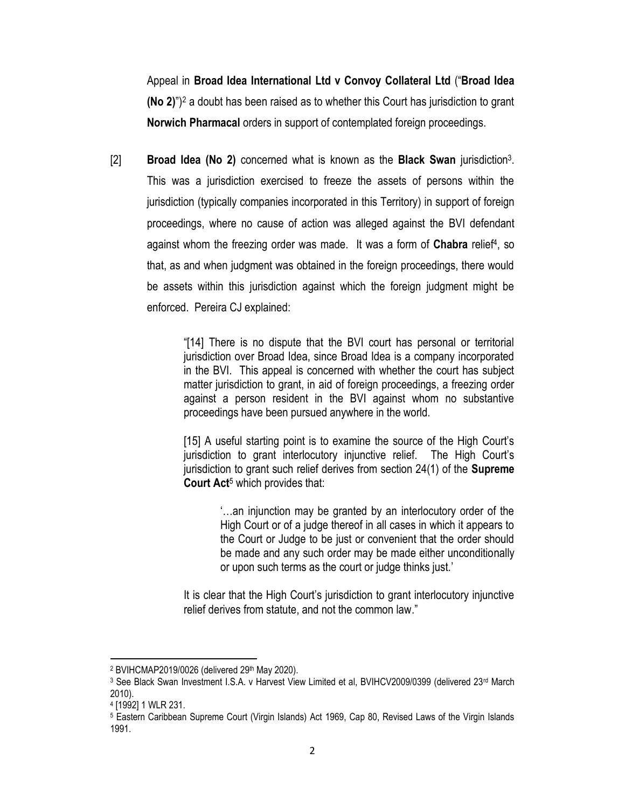Appeal in **Broad Idea International Ltd v Convoy Collateral Ltd** ("**Broad Idea (No 2)**")<sup>2</sup> a doubt has been raised as to whether this Court has jurisdiction to grant **Norwich Pharmacal** orders in support of contemplated foreign proceedings.

[2] **Broad Idea (No 2)** concerned what is known as the **Black Swan** jurisdiction<sup>3</sup> . This was a jurisdiction exercised to freeze the assets of persons within the jurisdiction (typically companies incorporated in this Territory) in support of foreign proceedings, where no cause of action was alleged against the BVI defendant against whom the freezing order was made. It was a form of **Chabra** relief<sup>4</sup> , so that, as and when judgment was obtained in the foreign proceedings, there would be assets within this jurisdiction against which the foreign judgment might be enforced. Pereira CJ explained:

> "[14] There is no dispute that the BVI court has personal or territorial jurisdiction over Broad Idea, since Broad Idea is a company incorporated in the BVI. This appeal is concerned with whether the court has subject matter jurisdiction to grant, in aid of foreign proceedings, a freezing order against a person resident in the BVI against whom no substantive proceedings have been pursued anywhere in the world.

> [15] A useful starting point is to examine the source of the High Court's jurisdiction to grant interlocutory injunctive relief. The High Court's jurisdiction to grant such relief derives from section 24(1) of the **Supreme Court Act**<sup>5</sup> which provides that:

> > '…an injunction may be granted by an interlocutory order of the High Court or of a judge thereof in all cases in which it appears to the Court or Judge to be just or convenient that the order should be made and any such order may be made either unconditionally or upon such terms as the court or judge thinks just.'

It is clear that the High Court's jurisdiction to grant interlocutory injunctive relief derives from statute, and not the common law."

 $\overline{\phantom{a}}$ <sup>2</sup> BVIHCMAP2019/0026 (delivered 29<sup>th</sup> May 2020).

<sup>3</sup> See Black Swan Investment I.S.A. v Harvest View Limited et al, BVIHCV2009/0399 (delivered 23<sup>rd</sup> March 2010).

<sup>4</sup> [1992] 1 WLR 231.

<sup>5</sup> Eastern Caribbean Supreme Court (Virgin Islands) Act 1969, Cap 80, Revised Laws of the Virgin Islands 1991.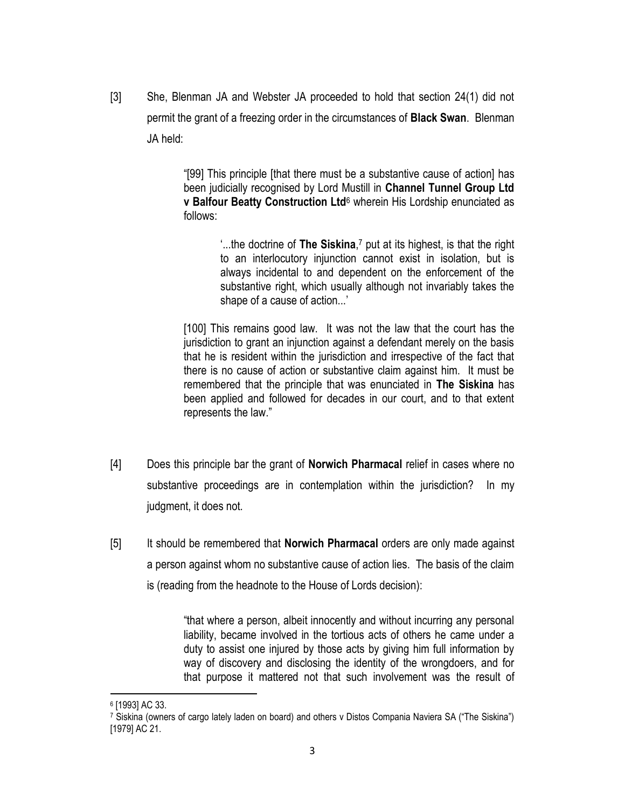[3] She, Blenman JA and Webster JA proceeded to hold that section 24(1) did not permit the grant of a freezing order in the circumstances of **Black Swan**. Blenman JA held:

> "[99] This principle [that there must be a substantive cause of action] has been judicially recognised by Lord Mustill in **Channel Tunnel Group Ltd v Balfour Beatty Construction Ltd**<sup>6</sup> wherein His Lordship enunciated as follows:

> > '...the doctrine of **The Siskina**, <sup>7</sup> put at its highest, is that the right to an interlocutory injunction cannot exist in isolation, but is always incidental to and dependent on the enforcement of the substantive right, which usually although not invariably takes the shape of a cause of action...'

[100] This remains good law. It was not the law that the court has the jurisdiction to grant an injunction against a defendant merely on the basis that he is resident within the jurisdiction and irrespective of the fact that there is no cause of action or substantive claim against him. It must be remembered that the principle that was enunciated in **The Siskina** has been applied and followed for decades in our court, and to that extent represents the law."

- [4] Does this principle bar the grant of **Norwich Pharmacal** relief in cases where no substantive proceedings are in contemplation within the jurisdiction? In my judgment, it does not.
- [5] It should be remembered that **Norwich Pharmacal** orders are only made against a person against whom no substantive cause of action lies. The basis of the claim is (reading from the headnote to the House of Lords decision):

"that where a person, albeit innocently and without incurring any personal liability, became involved in the tortious acts of others he came under a duty to assist one injured by those acts by giving him full information by way of discovery and disclosing the identity of the wrongdoers, and for that purpose it mattered not that such involvement was the result of

 $\overline{\phantom{a}}$ 

<sup>6</sup> [1993] AC 33.

<sup>7</sup> Siskina (owners of cargo lately laden on board) and others v Distos Compania Naviera SA ("The Siskina") [1979] AC 21.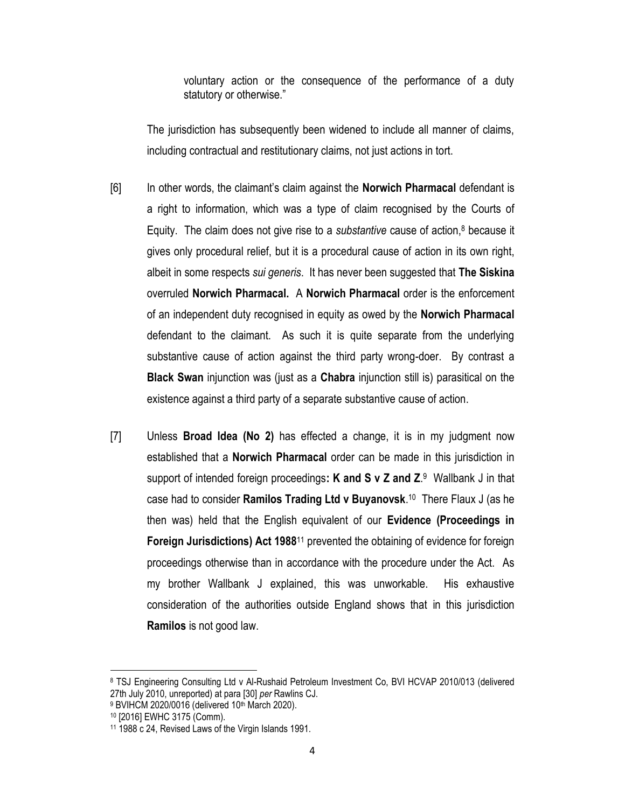voluntary action or the consequence of the performance of a duty statutory or otherwise."

The jurisdiction has subsequently been widened to include all manner of claims, including contractual and restitutionary claims, not just actions in tort.

- [6] In other words, the claimant's claim against the **Norwich Pharmacal** defendant is a right to information, which was a type of claim recognised by the Courts of Equity. The claim does not give rise to a *substantive* cause of action,<sup>8</sup> because it gives only procedural relief, but it is a procedural cause of action in its own right, albeit in some respects *sui generis*. It has never been suggested that **The Siskina**  overruled **Norwich Pharmacal.** A **Norwich Pharmacal** order is the enforcement of an independent duty recognised in equity as owed by the **Norwich Pharmacal** defendant to the claimant. As such it is quite separate from the underlying substantive cause of action against the third party wrong-doer. By contrast a **Black Swan** injunction was (just as a **Chabra** injunction still is) parasitical on the existence against a third party of a separate substantive cause of action.
- [7] Unless **Broad Idea (No 2)** has effected a change, it is in my judgment now established that a **Norwich Pharmacal** order can be made in this jurisdiction in support of intended foreign proceedings**: K and S v Z and Z**. 9 Wallbank J in that case had to consider **Ramilos Trading Ltd v Buyanovsk**. <sup>10</sup> There Flaux J (as he then was) held that the English equivalent of our **Evidence (Proceedings in Foreign Jurisdictions) Act 1988**<sup>11</sup> prevented the obtaining of evidence for foreign proceedings otherwise than in accordance with the procedure under the Act. As my brother Wallbank J explained, this was unworkable. His exhaustive consideration of the authorities outside England shows that in this jurisdiction **Ramilos** is not good law.

l

<sup>8</sup> TSJ Engineering Consulting Ltd v Al-Rushaid Petroleum Investment Co, BVI HCVAP 2010/013 (delivered 27th July 2010, unreported) at para [30] *per* Rawlins CJ.

 $9$  BVIHCM 2020/0016 (delivered 10<sup>th</sup> March 2020).

<sup>10</sup> [2016] EWHC 3175 (Comm).

<sup>11</sup> 1988 c 24, Revised Laws of the Virgin Islands 1991.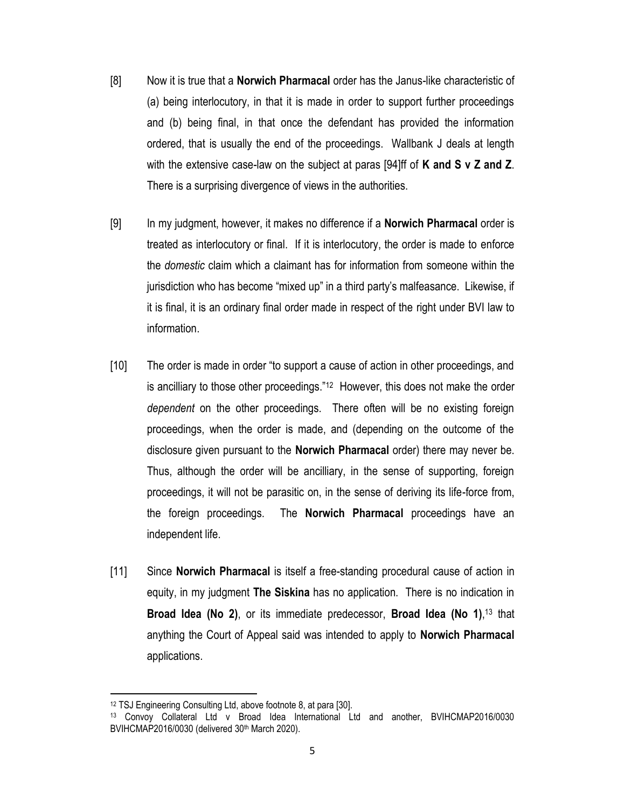- [8] Now it is true that a **Norwich Pharmacal** order has the Janus-like characteristic of (a) being interlocutory, in that it is made in order to support further proceedings and (b) being final, in that once the defendant has provided the information ordered, that is usually the end of the proceedings. Wallbank J deals at length with the extensive case-law on the subject at paras [94]ff of **K and S v Z and Z**. There is a surprising divergence of views in the authorities.
- [9] In my judgment, however, it makes no difference if a **Norwich Pharmacal** order is treated as interlocutory or final. If it is interlocutory, the order is made to enforce the *domestic* claim which a claimant has for information from someone within the jurisdiction who has become "mixed up" in a third party's malfeasance. Likewise, if it is final, it is an ordinary final order made in respect of the right under BVI law to information.
- [10] The order is made in order "to support a cause of action in other proceedings, and is ancilliary to those other proceedings."<sup>12</sup> However, this does not make the order *dependent* on the other proceedings. There often will be no existing foreign proceedings, when the order is made, and (depending on the outcome of the disclosure given pursuant to the **Norwich Pharmacal** order) there may never be. Thus, although the order will be ancilliary, in the sense of supporting, foreign proceedings, it will not be parasitic on, in the sense of deriving its life-force from, the foreign proceedings. The **Norwich Pharmacal** proceedings have an independent life.
- [11] Since **Norwich Pharmacal** is itself a free-standing procedural cause of action in equity, in my judgment **The Siskina** has no application. There is no indication in **Broad Idea (No 2)**, or its immediate predecessor, **Broad Idea (No 1)**, <sup>13</sup> that anything the Court of Appeal said was intended to apply to **Norwich Pharmacal** applications.

 $\overline{\phantom{a}}$ 

<sup>12</sup> TSJ Engineering Consulting Ltd, above footnote 8, at para [30].

<sup>13</sup> Convoy Collateral Ltd v Broad Idea International Ltd and another, BVIHCMAP2016/0030 BVIHCMAP2016/0030 (delivered 30th March 2020).